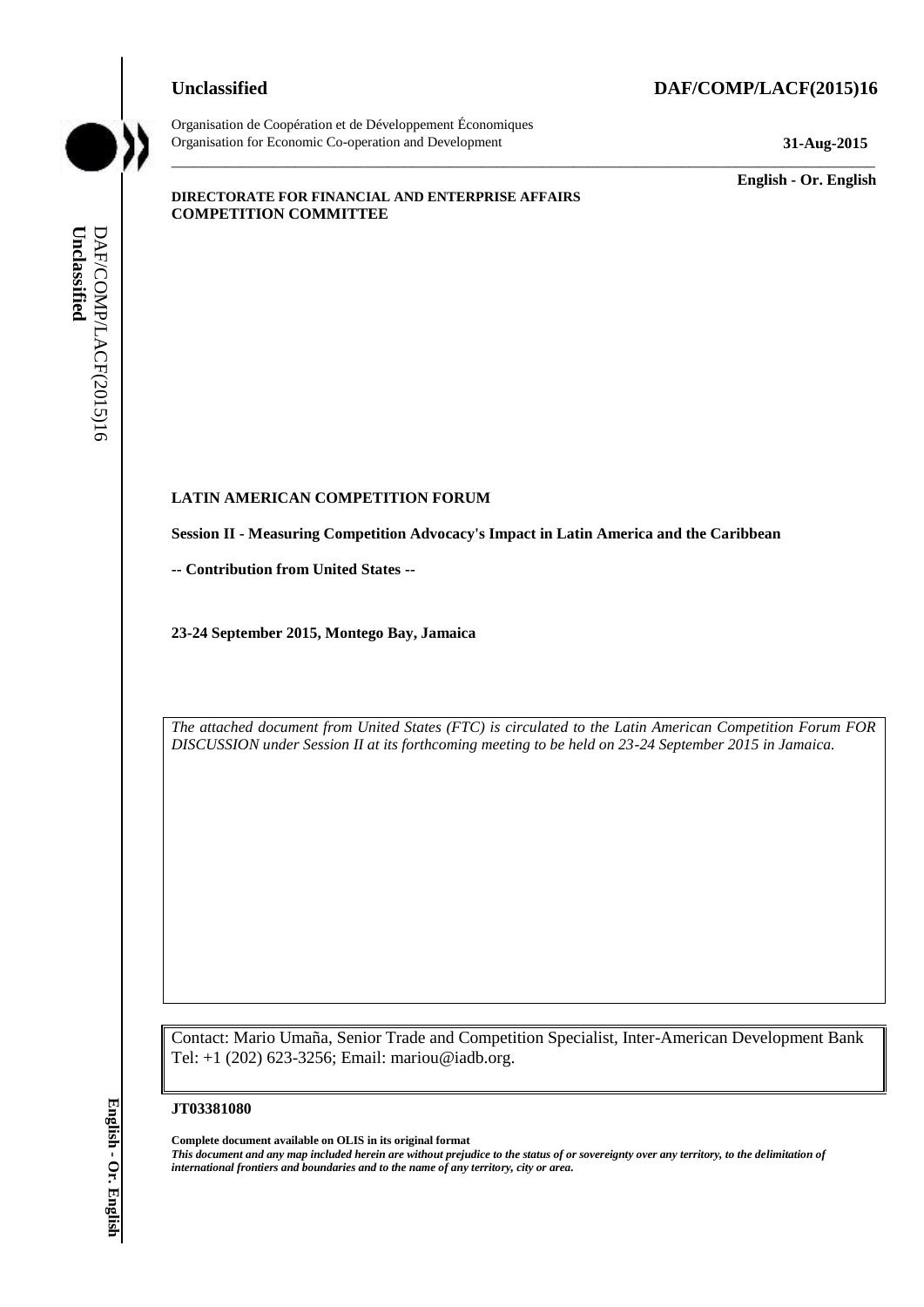# **Unclassified DAF/COMP/LACF(2015)16**



Organisation de Coopération et de Développement Économiques Organisation for Economic Co-operation and Development **31-Aug-2015**

\_\_\_\_\_\_\_\_\_\_\_\_\_ **English - Or. English**

### **DIRECTORATE FOR FINANCIAL AND ENTERPRISE AFFAIRS COMPETITION COMMITTEE**

# **LATIN AMERICAN COMPETITION FORUM**

**Session II - Measuring Competition Advocacy's Impact in Latin America and the Caribbean**

**-- Contribution from United States --**

**23-24 September 2015, Montego Bay, Jamaica**

*The attached document from United States (FTC) is circulated to the Latin American Competition Forum FOR DISCUSSION under Session II at its forthcoming meeting to be held on 23-24 September 2015 in Jamaica.*

\_\_\_\_\_\_\_\_\_\_\_\_\_\_\_\_\_\_\_\_\_\_\_\_\_\_\_\_\_\_\_\_\_\_\_\_\_\_\_\_\_\_\_\_\_\_\_\_\_\_\_\_\_\_\_\_\_\_\_\_\_\_\_\_\_\_\_\_\_\_\_\_\_\_\_\_\_\_\_\_\_\_\_\_\_\_\_\_\_\_\_

Contact: Mario Umaña, Senior Trade and Competition Specialist, Inter-American Development Bank Tel: +1 (202) 623-3256; Email: mariou@iadb.org.

#### **JT03381080**

**Complete document available on OLIS in its original format** *This document and any map included herein are without prejudice to the status of or sovereignty over any territory, to the delimitation of*  **ii** *international I* • *NATIN AMERICAN COMPETITION FORUM*<br> **is contribution I** • **Nessuring Competition Advocates's Impact in Lateration - contribution from United States --<br>
23-24 September 2015, Montego Bay, Janua**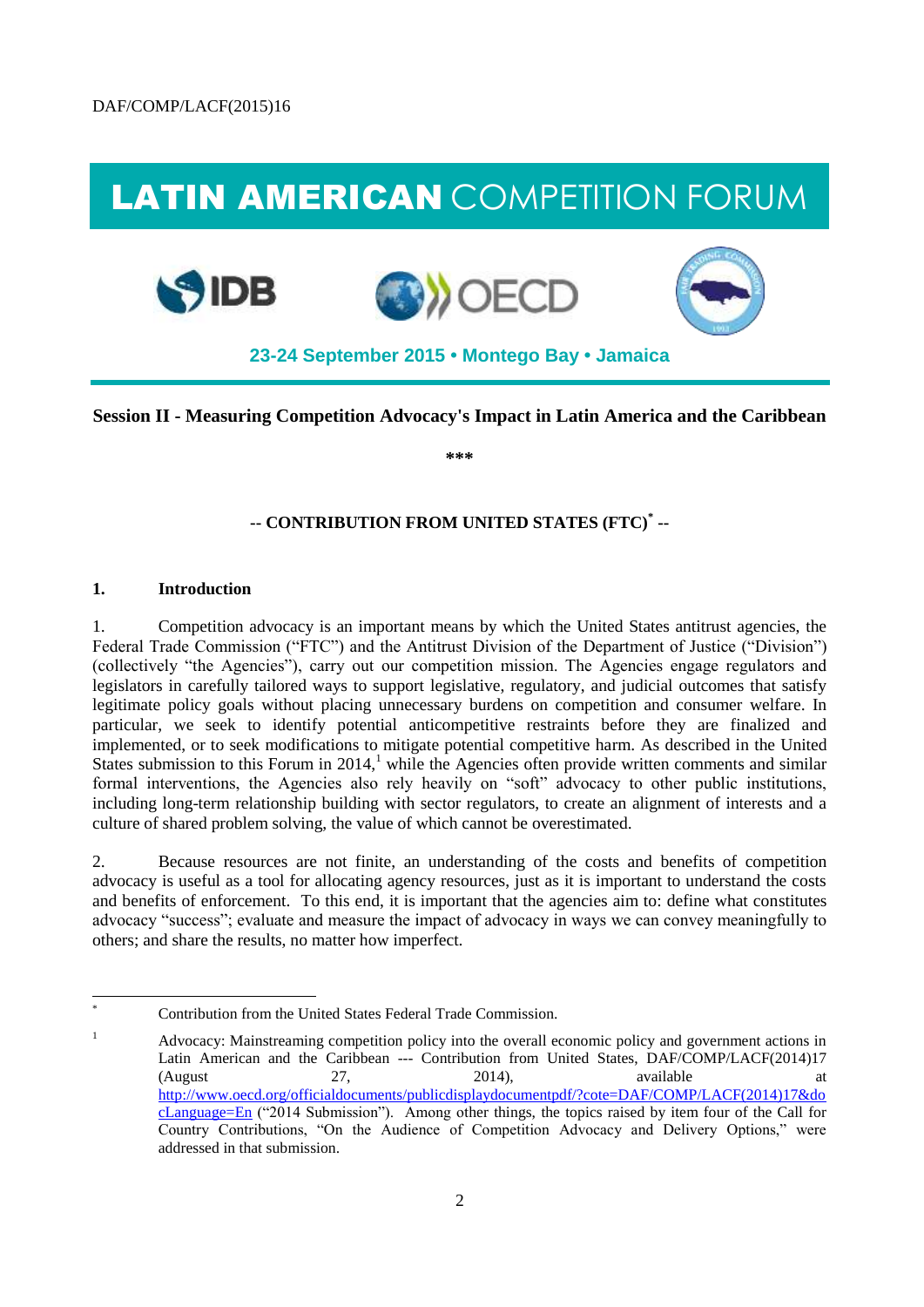# LATIN AMERICAN COMPETITION FORUM







# **23-24 September 2015 • Montego Bay • Jamaica**

# **Session II - Measuring Competition Advocacy's Impact in Latin America and the Caribbean**

**\*\*\*** 

# **-- CONTRIBUTION FROM UNITED STATES (FTC)\* --**

# **1. Introduction**

 \*

1. Competition advocacy is an important means by which the United States antitrust agencies, the Federal Trade Commission ("FTC") and the Antitrust Division of the Department of Justice ("Division") (collectively "the Agencies"), carry out our competition mission. The Agencies engage regulators and legislators in carefully tailored ways to support legislative, regulatory, and judicial outcomes that satisfy legitimate policy goals without placing unnecessary burdens on competition and consumer welfare. In particular, we seek to identify potential anticompetitive restraints before they are finalized and implemented, or to seek modifications to mitigate potential competitive harm. As described in the United States submission to this Forum in  $2014$ ,<sup>1</sup> while the Agencies often provide written comments and similar formal interventions, the Agencies also rely heavily on "soft" advocacy to other public institutions, including long-term relationship building with sector regulators, to create an alignment of interests and a culture of shared problem solving, the value of which cannot be overestimated.

2. Because resources are not finite, an understanding of the costs and benefits of competition advocacy is useful as a tool for allocating agency resources, just as it is important to understand the costs and benefits of enforcement. To this end, it is important that the agencies aim to: define what constitutes advocacy "success"; evaluate and measure the impact of advocacy in ways we can convey meaningfully to others; and share the results, no matter how imperfect.

Contribution from the United States Federal Trade Commission.

<sup>1</sup> Advocacy: Mainstreaming competition policy into the overall economic policy and government actions in Latin American and the Caribbean --- Contribution from United States, DAF/COMP/LACF(2014)17  $27,$  2014), available at a contract at  $27,$  2014), available at a contract at  $27,$ [http://www.oecd.org/officialdocuments/publicdisplaydocumentpdf/?cote=DAF/COMP/LACF\(2014\)17&do](http://www.oecd.org/officialdocuments/publicdisplaydocumentpdf/?cote=DAF/COMP/LACF(2014)17&docLanguage=En) [cLanguage=En](http://www.oecd.org/officialdocuments/publicdisplaydocumentpdf/?cote=DAF/COMP/LACF(2014)17&docLanguage=En) ("2014 Submission"). Among other things, the topics raised by item four of the Call for Country Contributions, "On the Audience of Competition Advocacy and Delivery Options," were addressed in that submission.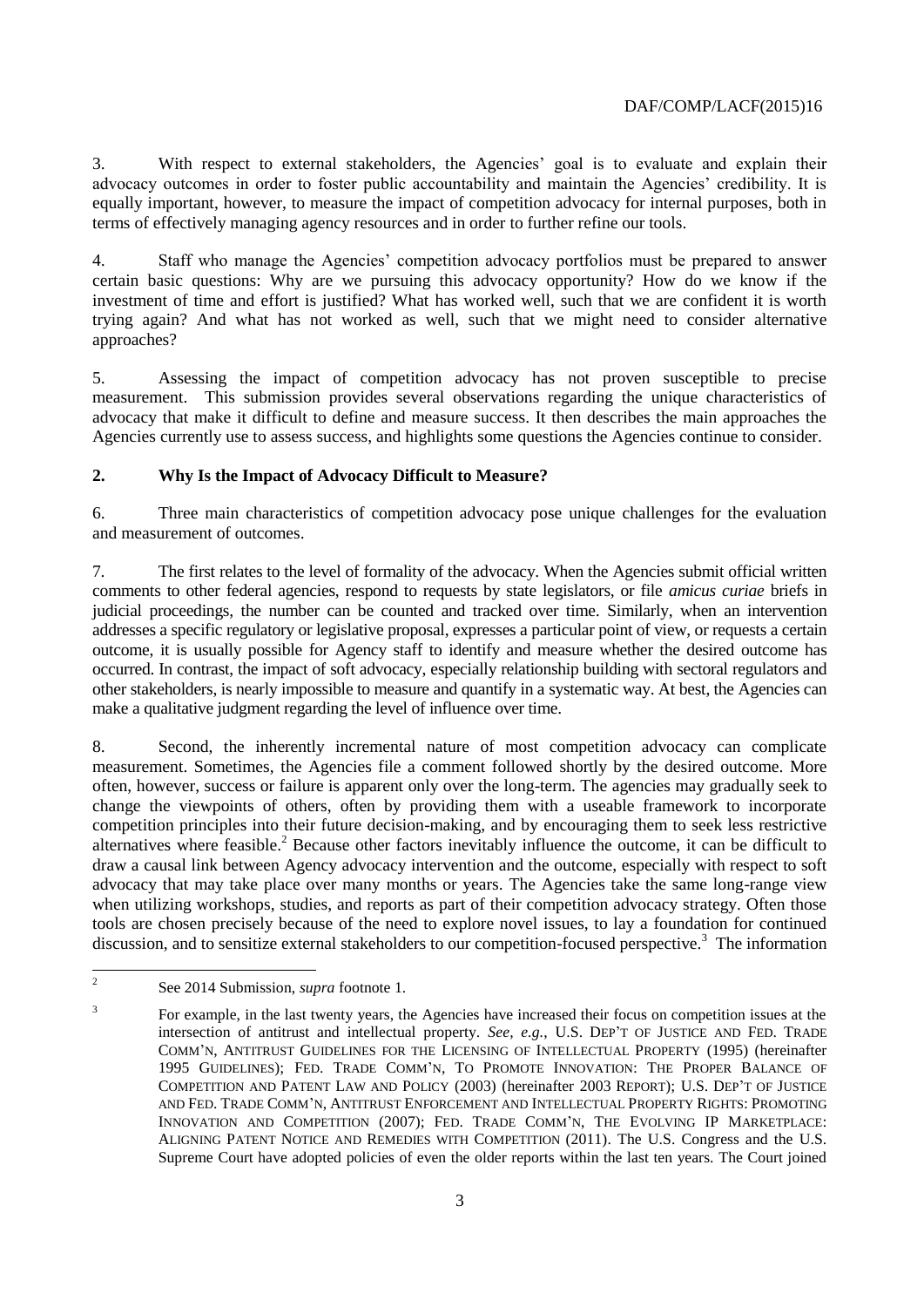3. With respect to external stakeholders, the Agencies' goal is to evaluate and explain their advocacy outcomes in order to foster public accountability and maintain the Agencies' credibility. It is equally important, however, to measure the impact of competition advocacy for internal purposes, both in terms of effectively managing agency resources and in order to further refine our tools.

4. Staff who manage the Agencies' competition advocacy portfolios must be prepared to answer certain basic questions: Why are we pursuing this advocacy opportunity? How do we know if the investment of time and effort is justified? What has worked well, such that we are confident it is worth trying again? And what has not worked as well, such that we might need to consider alternative approaches?

5. Assessing the impact of competition advocacy has not proven susceptible to precise measurement. This submission provides several observations regarding the unique characteristics of advocacy that make it difficult to define and measure success. It then describes the main approaches the Agencies currently use to assess success, and highlights some questions the Agencies continue to consider.

# **2. Why Is the Impact of Advocacy Difficult to Measure?**

6. Three main characteristics of competition advocacy pose unique challenges for the evaluation and measurement of outcomes.

7. The first relates to the level of formality of the advocacy. When the Agencies submit official written comments to other federal agencies, respond to requests by state legislators, or file *amicus curiae* briefs in judicial proceedings, the number can be counted and tracked over time. Similarly, when an intervention addresses a specific regulatory or legislative proposal, expresses a particular point of view, or requests a certain outcome, it is usually possible for Agency staff to identify and measure whether the desired outcome has occurred. In contrast, the impact of soft advocacy, especially relationship building with sectoral regulators and other stakeholders, is nearly impossible to measure and quantify in a systematic way. At best, the Agencies can make a qualitative judgment regarding the level of influence over time.

8. Second, the inherently incremental nature of most competition advocacy can complicate measurement. Sometimes, the Agencies file a comment followed shortly by the desired outcome. More often, however, success or failure is apparent only over the long-term. The agencies may gradually seek to change the viewpoints of others, often by providing them with a useable framework to incorporate competition principles into their future decision-making, and by encouraging them to seek less restrictive alternatives where feasible.<sup>2</sup> Because other factors inevitably influence the outcome, it can be difficult to draw a causal link between Agency advocacy intervention and the outcome, especially with respect to soft advocacy that may take place over many months or years. The Agencies take the same long-range view when utilizing workshops, studies, and reports as part of their competition advocacy strategy. Often those tools are chosen precisely because of the need to explore novel issues, to lay a foundation for continued discussion, and to sensitize external stakeholders to our competition-focused perspective.<sup>3</sup> The information

 $\frac{1}{2}$ See 2014 Submission, *supra* footnote 1.

<sup>3</sup> For example, in the last twenty years, the Agencies have increased their focus on competition issues at the intersection of antitrust and intellectual property. *See, e.g.*, U.S. DEP'T OF JUSTICE AND FED. TRADE COMM'N, ANTITRUST GUIDELINES FOR THE LICENSING OF INTELLECTUAL PROPERTY (1995) (hereinafter 1995 GUIDELINES); FED. TRADE COMM'N, TO PROMOTE INNOVATION: THE PROPER BALANCE OF COMPETITION AND PATENT LAW AND POLICY (2003) (hereinafter 2003 REPORT); U.S. DEP'T OF JUSTICE AND FED. TRADE COMM'N, ANTITRUST ENFORCEMENT AND INTELLECTUAL PROPERTY RIGHTS: PROMOTING INNOVATION AND COMPETITION (2007); FED. TRADE COMM'N, THE EVOLVING IP MARKETPLACE: ALIGNING PATENT NOTICE AND REMEDIES WITH COMPETITION (2011). The U.S. Congress and the U.S. Supreme Court have adopted policies of even the older reports within the last ten years. The Court joined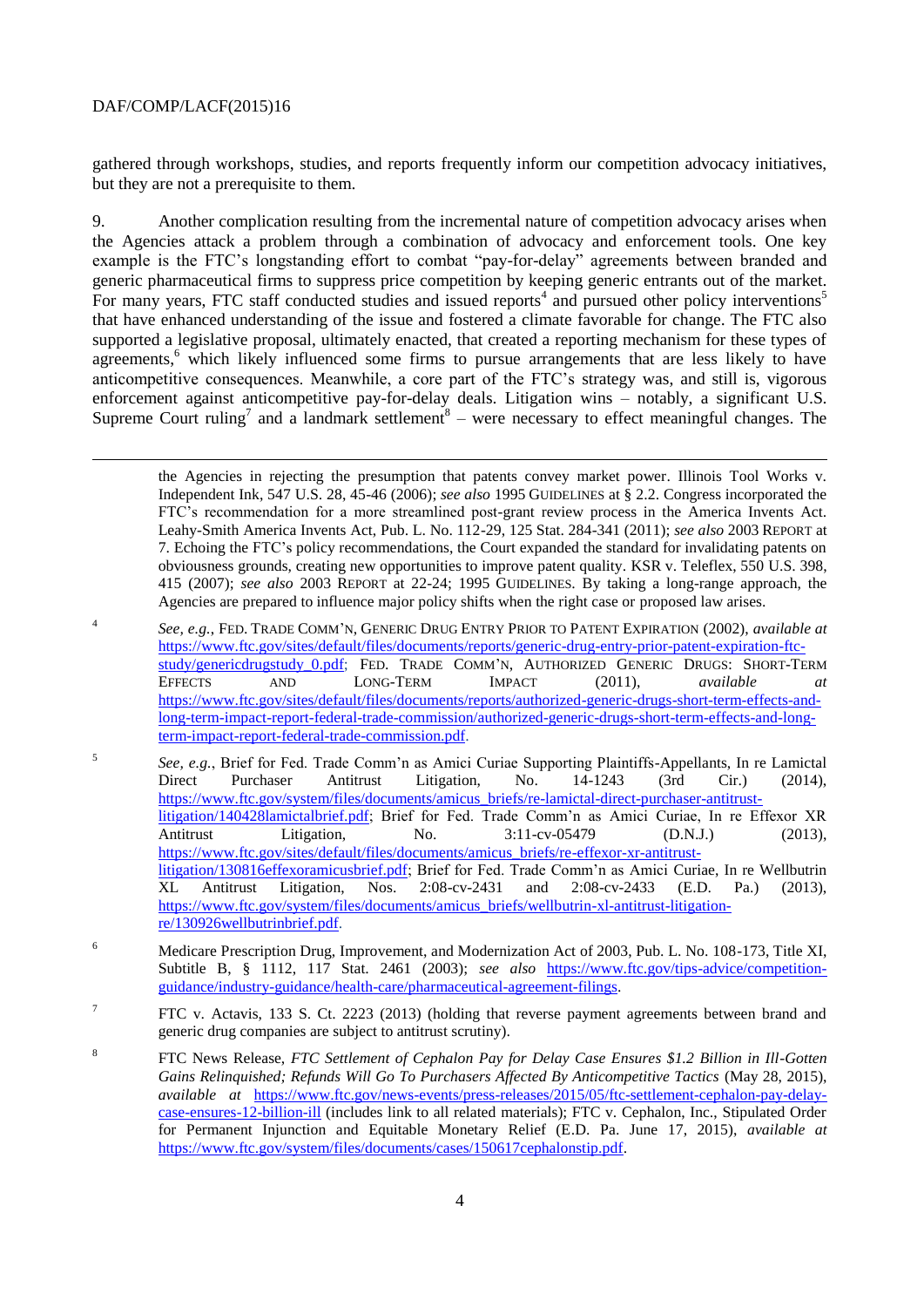# DAF/COMP/LACF(2015)16

gathered through workshops, studies, and reports frequently inform our competition advocacy initiatives, but they are not a prerequisite to them.

9. Another complication resulting from the incremental nature of competition advocacy arises when the Agencies attack a problem through a combination of advocacy and enforcement tools. One key example is the FTC's longstanding effort to combat "pay-for-delay" agreements between branded and generic pharmaceutical firms to suppress price competition by keeping generic entrants out of the market. For many years, FTC staff conducted studies and issued reports<sup>4</sup> and pursued other policy interventions<sup>5</sup> that have enhanced understanding of the issue and fostered a climate favorable for change. The FTC also supported a legislative proposal, ultimately enacted, that created a reporting mechanism for these types of agreements,<sup>6</sup> which likely influenced some firms to pursue arrangements that are less likely to have anticompetitive consequences. Meanwhile, a core part of the FTC's strategy was, and still is, vigorous enforcement against anticompetitive pay-for-delay deals. Litigation wins – notably, a significant U.S. Supreme Court ruling<sup>7</sup> and a landmark settlement<sup>8</sup> – were necessary to effect meaningful changes. The

the Agencies in rejecting the presumption that patents convey market power. Illinois Tool Works v. Independent Ink, 547 U.S. 28, 45-46 (2006); *see also* 1995 GUIDELINES at § 2.2. Congress incorporated the FTC's recommendation for a more streamlined post-grant review process in the America Invents Act. Leahy-Smith America Invents Act, Pub. L. No. 112-29, 125 Stat. 284-341 (2011); *see also* 2003 REPORT at 7. Echoing the FTC's policy recommendations, the Court expanded the standard for invalidating patents on obviousness grounds, creating new opportunities to improve patent quality. KSR v. Teleflex, 550 U.S. 398, 415 (2007); *see also* 2003 REPORT at 22-24; 1995 GUIDELINES. By taking a long-range approach, the Agencies are prepared to influence major policy shifts when the right case or proposed law arises.

4 *See, e.g.*, FED. TRADE COMM'N, GENERIC DRUG ENTRY PRIOR TO PATENT EXPIRATION (2002), *available at* [https://www.ftc.gov/sites/default/files/documents/reports/generic-drug-entry-prior-patent-expiration-ftc](https://www.ftc.gov/sites/default/files/documents/reports/generic-drug-entry-prior-patent-expiration-ftc-study/genericdrugstudy_0.pdf)[study/genericdrugstudy\\_0.pdf;](https://www.ftc.gov/sites/default/files/documents/reports/generic-drug-entry-prior-patent-expiration-ftc-study/genericdrugstudy_0.pdf) FED. TRADE COMM'N, AUTHORIZED GENERIC DRUGS: SHORT-TERM EFFECTS AND LONG-TERM IMPACT (2011), *available at* [https://www.ftc.gov/sites/default/files/documents/reports/authorized-generic-drugs-short-term-effects-and](https://www.ftc.gov/sites/default/files/documents/reports/authorized-generic-drugs-short-term-effects-and-long-term-impact-report-federal-trade-commission/authorized-generic-drugs-short-term-effects-and-long-term-impact-report-federal-trade-commission.pdf)[long-term-impact-report-federal-trade-commission/authorized-generic-drugs-short-term-effects-and-long](https://www.ftc.gov/sites/default/files/documents/reports/authorized-generic-drugs-short-term-effects-and-long-term-impact-report-federal-trade-commission/authorized-generic-drugs-short-term-effects-and-long-term-impact-report-federal-trade-commission.pdf)[term-impact-report-federal-trade-commission.pdf.](https://www.ftc.gov/sites/default/files/documents/reports/authorized-generic-drugs-short-term-effects-and-long-term-impact-report-federal-trade-commission/authorized-generic-drugs-short-term-effects-and-long-term-impact-report-federal-trade-commission.pdf)

5 *See, e.g.*, Brief for Fed. Trade Comm'n as Amici Curiae Supporting Plaintiffs-Appellants, In re Lamictal Direct Purchaser Antitrust Litigation, No. 14-1243 (3rd Cir.) (2014), [https://www.ftc.gov/system/files/documents/amicus\\_briefs/re-lamictal-direct-purchaser-antitrust](https://www.ftc.gov/system/files/documents/amicus_briefs/re-lamictal-direct-purchaser-antitrust-litigation/140428lamictalbrief.pdf)[litigation/140428lamictalbrief.pdf;](https://www.ftc.gov/system/files/documents/amicus_briefs/re-lamictal-direct-purchaser-antitrust-litigation/140428lamictalbrief.pdf) Brief for Fed. Trade Comm'n as Amici Curiae, In re Effexor XR Antitrust Litigation, No. 3:11-cv-05479 (D.N.J.) (2013), [https://www.ftc.gov/sites/default/files/documents/amicus\\_briefs/re-effexor-xr-antitrust](https://www.ftc.gov/sites/default/files/documents/amicus_briefs/re-effexor-xr-antitrust-litigation/130816effexoramicusbrief.pdf)[litigation/130816effexoramicusbrief.pdf;](https://www.ftc.gov/sites/default/files/documents/amicus_briefs/re-effexor-xr-antitrust-litigation/130816effexoramicusbrief.pdf) Brief for Fed. Trade Comm'n as Amici Curiae, In re Wellbutrin XL Antitrust Litigation, Nos. 2:08-cv-2431 and 2:08-cv-2433 (E.D. Pa.) (2013), [https://www.ftc.gov/system/files/documents/amicus\\_briefs/wellbutrin-xl-antitrust-litigation](https://www.ftc.gov/system/files/documents/amicus_briefs/wellbutrin-xl-antitrust-litigation-re/130926wellbutrinbrief.pdf)[re/130926wellbutrinbrief.pdf.](https://www.ftc.gov/system/files/documents/amicus_briefs/wellbutrin-xl-antitrust-litigation-re/130926wellbutrinbrief.pdf)

<sup>6</sup> Medicare Prescription Drug, Improvement, and Modernization Act of 2003, Pub. L. No. 108-173, Title XI, Subtitle B, § 1112, 117 Stat. 2461 (2003); *see also* [https://www.ftc.gov/tips-advice/competition](https://www.ftc.gov/tips-advice/competition-guidance/industry-guidance/health-care/pharmaceutical-agreement-filings)[guidance/industry-guidance/health-care/pharmaceutical-agreement-filings.](https://www.ftc.gov/tips-advice/competition-guidance/industry-guidance/health-care/pharmaceutical-agreement-filings)

<sup>7</sup> FTC v. Actavis, 133 S. Ct. 2223 (2013) (holding that reverse payment agreements between brand and generic drug companies are subject to antitrust scrutiny).

<sup>8</sup> FTC News Release, *FTC Settlement of Cephalon Pay for Delay Case Ensures \$1.2 Billion in Ill-Gotten Gains Relinquished; Refunds Will Go To Purchasers Affected By Anticompetitive Tactics* (May 28, 2015), *available at* [https://www.ftc.gov/news-events/press-releases/2015/05/ftc-settlement-cephalon-pay-delay](https://www.ftc.gov/news-events/press-releases/2015/05/ftc-settlement-cephalon-pay-delay-case-ensures-12-billion-ill)[case-ensures-12-billion-ill](https://www.ftc.gov/news-events/press-releases/2015/05/ftc-settlement-cephalon-pay-delay-case-ensures-12-billion-ill) (includes link to all related materials); FTC v. Cephalon, Inc., Stipulated Order for Permanent Injunction and Equitable Monetary Relief (E.D. Pa. June 17, 2015), *available at* [https://www.ftc.gov/system/files/documents/cases/150617cephalonstip.pdf.](https://www.ftc.gov/system/files/documents/cases/150617cephalonstip.pdf)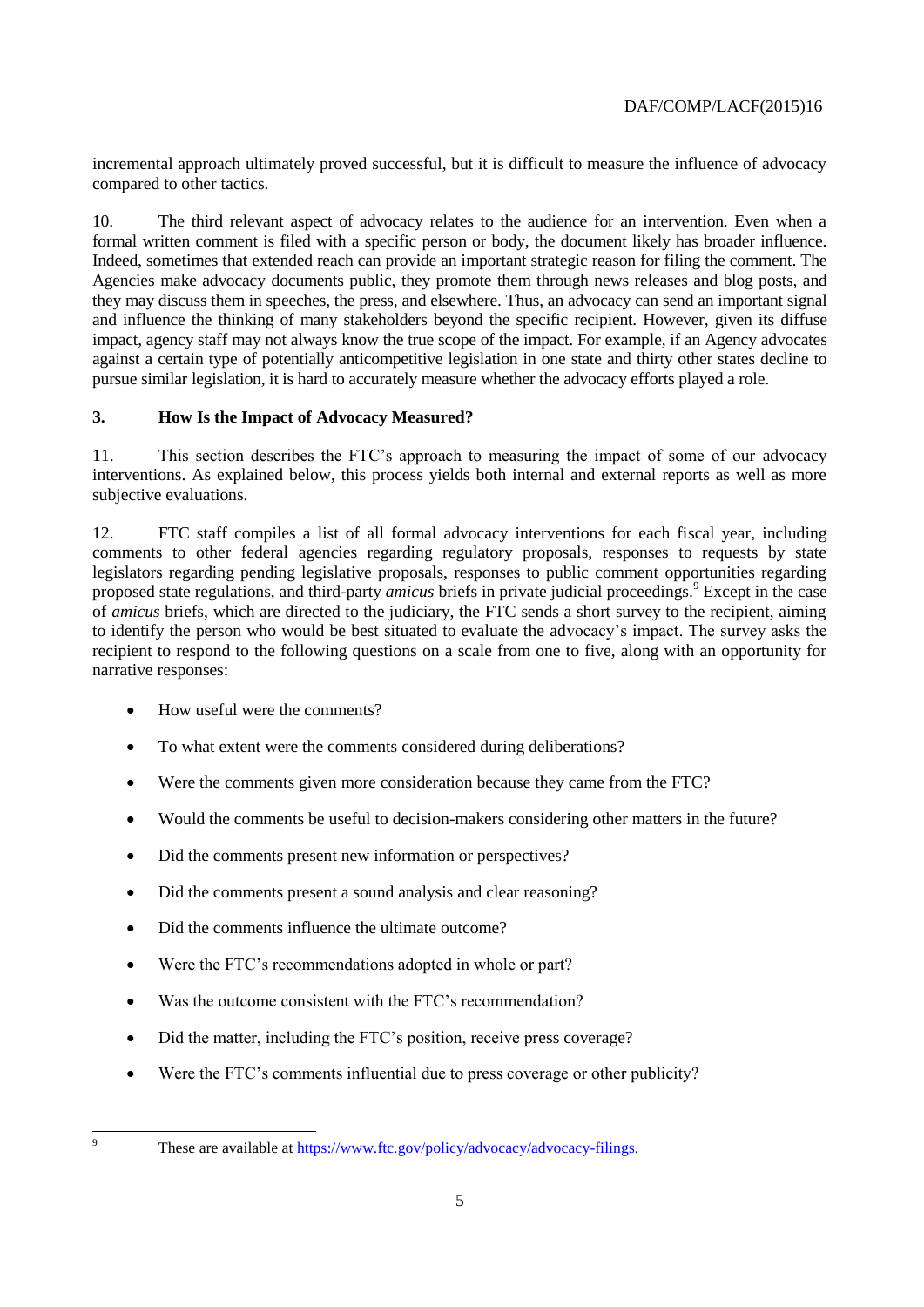incremental approach ultimately proved successful, but it is difficult to measure the influence of advocacy compared to other tactics.

10. The third relevant aspect of advocacy relates to the audience for an intervention. Even when a formal written comment is filed with a specific person or body, the document likely has broader influence. Indeed, sometimes that extended reach can provide an important strategic reason for filing the comment. The Agencies make advocacy documents public, they promote them through news releases and blog posts, and they may discuss them in speeches, the press, and elsewhere. Thus, an advocacy can send an important signal and influence the thinking of many stakeholders beyond the specific recipient. However, given its diffuse impact, agency staff may not always know the true scope of the impact. For example, if an Agency advocates against a certain type of potentially anticompetitive legislation in one state and thirty other states decline to pursue similar legislation, it is hard to accurately measure whether the advocacy efforts played a role.

# **3. How Is the Impact of Advocacy Measured?**

11. This section describes the FTC's approach to measuring the impact of some of our advocacy interventions. As explained below, this process yields both internal and external reports as well as more subjective evaluations.

12. FTC staff compiles a list of all formal advocacy interventions for each fiscal year, including comments to other federal agencies regarding regulatory proposals, responses to requests by state legislators regarding pending legislative proposals, responses to public comment opportunities regarding proposed state regulations, and third-party *amicus* briefs in private judicial proceedings.<sup>9</sup> Except in the case of *amicus* briefs, which are directed to the judiciary, the FTC sends a short survey to the recipient, aiming to identify the person who would be best situated to evaluate the advocacy's impact. The survey asks the recipient to respond to the following questions on a scale from one to five, along with an opportunity for narrative responses:

- How useful were the comments?
- To what extent were the comments considered during deliberations?
- Were the comments given more consideration because they came from the FTC?
- Would the comments be useful to decision-makers considering other matters in the future?
- Did the comments present new information or perspectives?
- Did the comments present a sound analysis and clear reasoning?
- Did the comments influence the ultimate outcome?
- Were the FTC's recommendations adopted in whole or part?
- Was the outcome consistent with the FTC's recommendation?
- Did the matter, including the FTC's position, receive press coverage?
- Were the FTC's comments influential due to press coverage or other publicity?

<sup>&</sup>lt;sup>9</sup>

These are available at [https://www.ftc.gov/policy/advocacy/advocacy-filings.](https://www.ftc.gov/policy/advocacy/advocacy-filings)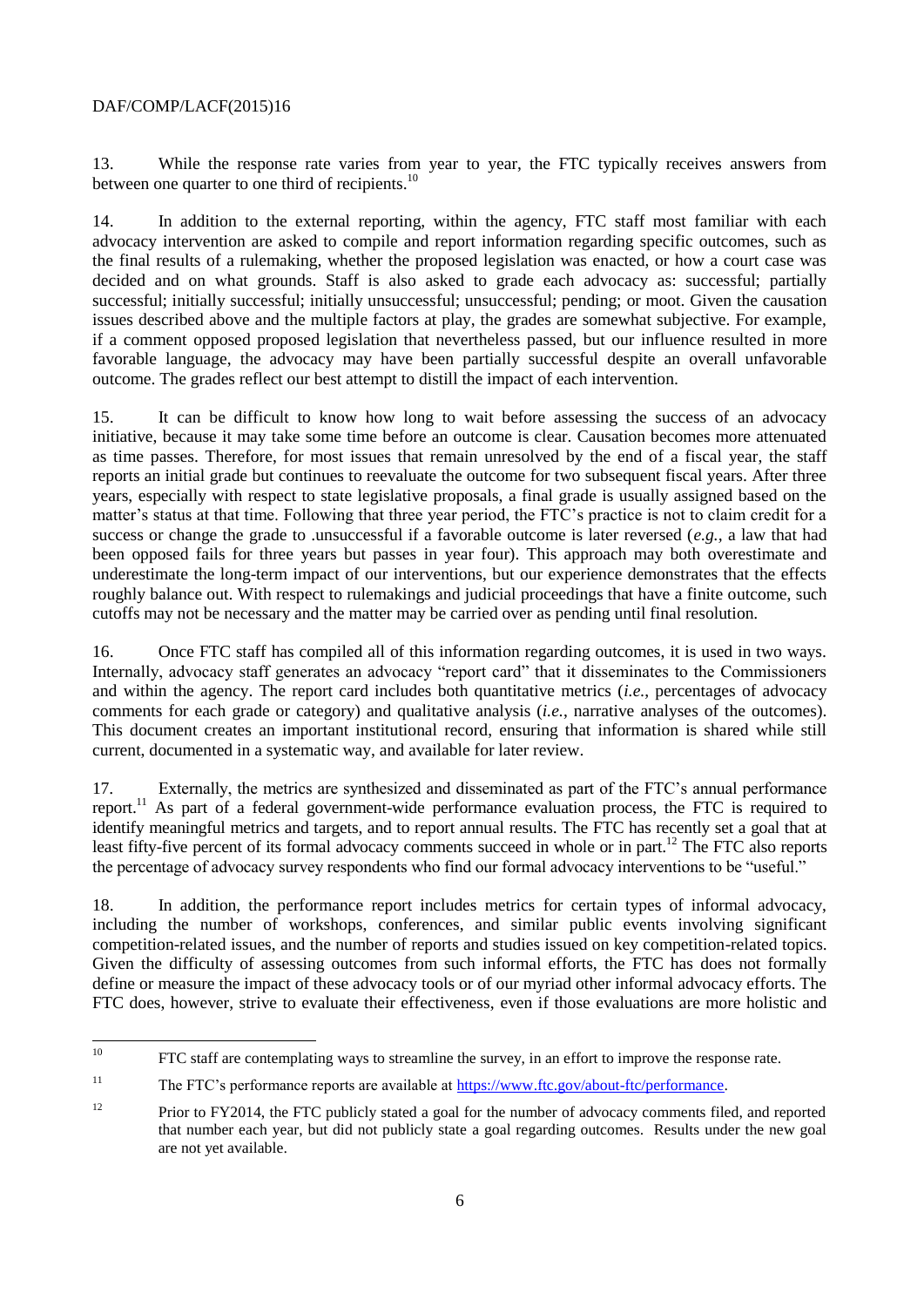# DAF/COMP/LACF(2015)16

13. While the response rate varies from year to year, the FTC typically receives answers from between one quarter to one third of recipients.<sup>10</sup>

14. In addition to the external reporting, within the agency, FTC staff most familiar with each advocacy intervention are asked to compile and report information regarding specific outcomes, such as the final results of a rulemaking, whether the proposed legislation was enacted, or how a court case was decided and on what grounds. Staff is also asked to grade each advocacy as: successful; partially successful; initially successful; initially unsuccessful; unsuccessful; pending; or moot. Given the causation issues described above and the multiple factors at play, the grades are somewhat subjective. For example, if a comment opposed proposed legislation that nevertheless passed, but our influence resulted in more favorable language, the advocacy may have been partially successful despite an overall unfavorable outcome. The grades reflect our best attempt to distill the impact of each intervention.

15. It can be difficult to know how long to wait before assessing the success of an advocacy initiative, because it may take some time before an outcome is clear. Causation becomes more attenuated as time passes. Therefore, for most issues that remain unresolved by the end of a fiscal year, the staff reports an initial grade but continues to reevaluate the outcome for two subsequent fiscal years. After three years, especially with respect to state legislative proposals, a final grade is usually assigned based on the matter's status at that time. Following that three year period, the FTC's practice is not to claim credit for a success or change the grade to .unsuccessful if a favorable outcome is later reversed (*e.g.,* a law that had been opposed fails for three years but passes in year four). This approach may both overestimate and underestimate the long-term impact of our interventions, but our experience demonstrates that the effects roughly balance out. With respect to rulemakings and judicial proceedings that have a finite outcome, such cutoffs may not be necessary and the matter may be carried over as pending until final resolution.

16. Once FTC staff has compiled all of this information regarding outcomes, it is used in two ways. Internally, advocacy staff generates an advocacy "report card" that it disseminates to the Commissioners and within the agency. The report card includes both quantitative metrics (*i.e.*, percentages of advocacy comments for each grade or category) and qualitative analysis (*i.e.*, narrative analyses of the outcomes). This document creates an important institutional record, ensuring that information is shared while still current, documented in a systematic way, and available for later review.

17. Externally, the metrics are synthesized and disseminated as part of the FTC's annual performance report.<sup>11</sup> As part of a federal government-wide performance evaluation process, the FTC is required to identify meaningful metrics and targets, and to report annual results. The FTC has recently set a goal that at least fifty-five percent of its formal advocacy comments succeed in whole or in part.<sup>12</sup> The FTC also reports the percentage of advocacy survey respondents who find our formal advocacy interventions to be "useful."

18. In addition, the performance report includes metrics for certain types of informal advocacy, including the number of workshops, conferences, and similar public events involving significant competition-related issues, and the number of reports and studies issued on key competition-related topics. Given the difficulty of assessing outcomes from such informal efforts, the FTC has does not formally define or measure the impact of these advocacy tools or of our myriad other informal advocacy efforts. The FTC does, however, strive to evaluate their effectiveness, even if those evaluations are more holistic and

 $10<sup>10</sup>$ <sup>10</sup> FTC staff are contemplating ways to streamline the survey, in an effort to improve the response rate.

<sup>&</sup>lt;sup>11</sup> The FTC's performance reports are available at  $\frac{ht\text{tps}}{l\text{www}}$ .ftc.gov/about-ftc/performance.

<sup>&</sup>lt;sup>12</sup> Prior to FY2014, the FTC publicly stated a goal for the number of advocacy comments filed, and reported that number each year, but did not publicly state a goal regarding outcomes. Results under the new goal are not yet available.